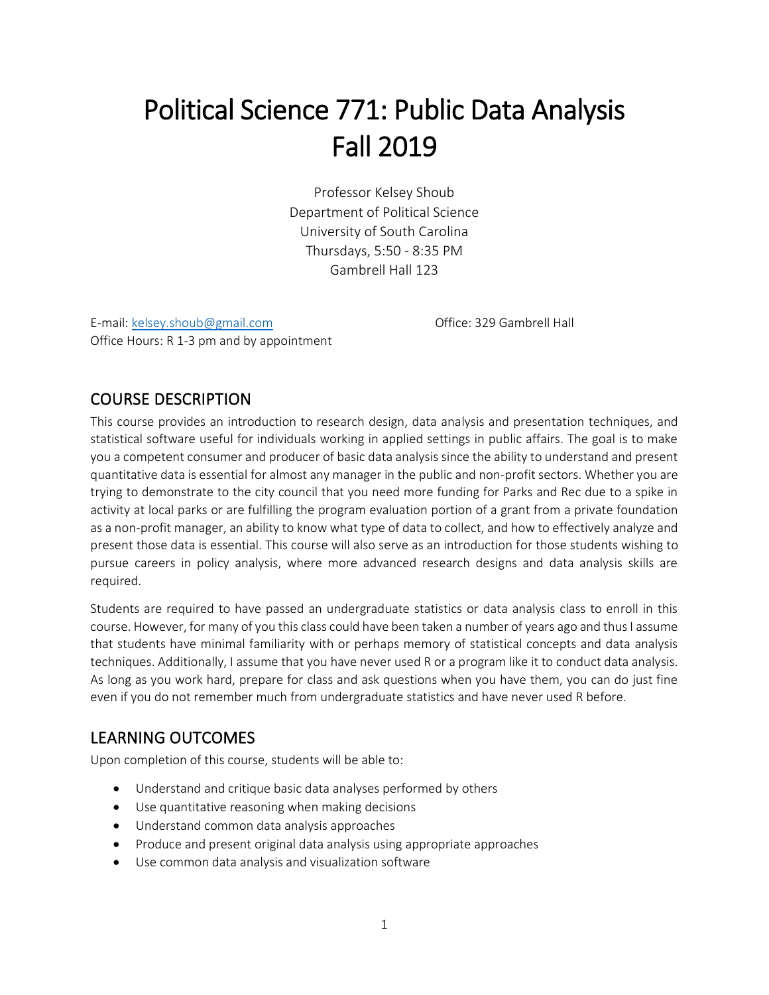# Political Science 771: Public Data Analysis Fall 2019

Professor Kelsey Shoub Department of Political Science University of South Carolina Thursdays, 5:50 - 8:35 PM Gambrell Hall 123

E-mail: [kelsey.shoub@gmail.com](mailto:kelsey.shoub@gmail.com) **Community** Community Community Community Community Community Community Community Community Community Community Community Community Community Community Community Community Community Community Office Hours: R 1-3 pm and by appointment

## COURSE DESCRIPTION

This course provides an introduction to research design, data analysis and presentation techniques, and statistical software useful for individuals working in applied settings in public affairs. The goal is to make you a competent consumer and producer of basic data analysis since the ability to understand and present quantitative data is essential for almost any manager in the public and non-profit sectors. Whether you are trying to demonstrate to the city council that you need more funding for Parks and Rec due to a spike in activity at local parks or are fulfilling the program evaluation portion of a grant from a private foundation as a non-profit manager, an ability to know what type of data to collect, and how to effectively analyze and present those data is essential. This course will also serve as an introduction for those students wishing to pursue careers in policy analysis, where more advanced research designs and data analysis skills are required.

Students are required to have passed an undergraduate statistics or data analysis class to enroll in this course. However, for many of you this class could have been taken a number of years ago and thus I assume that students have minimal familiarity with or perhaps memory of statistical concepts and data analysis techniques. Additionally, I assume that you have never used R or a program like it to conduct data analysis. As long as you work hard, prepare for class and ask questions when you have them, you can do just fine even if you do not remember much from undergraduate statistics and have never used R before.

#### LEARNING OUTCOMES

Upon completion of this course, students will be able to:

- Understand and critique basic data analyses performed by others
- Use quantitative reasoning when making decisions
- Understand common data analysis approaches
- Produce and present original data analysis using appropriate approaches
- Use common data analysis and visualization software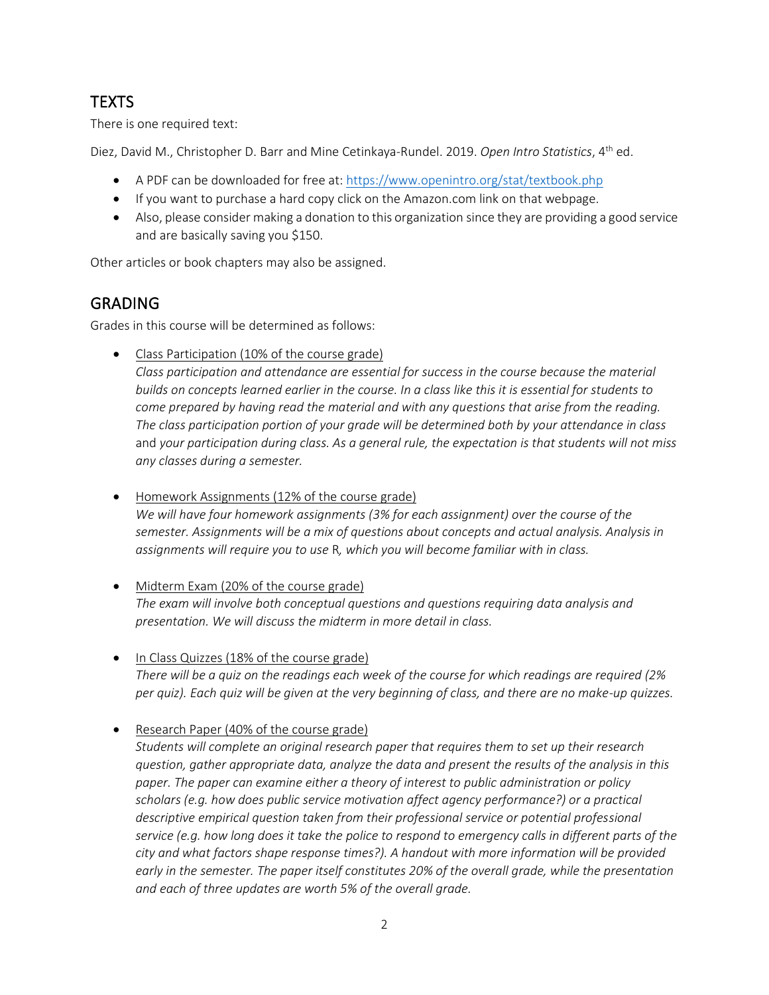# **TEXTS**

There is one required text:

Diez, David M., Christopher D. Barr and Mine Cetinkaya-Rundel. 2019. Open Intro Statistics, 4<sup>th</sup> ed.

- A PDF can be downloaded for free at[: https://www.openintro.org/stat/textbook.php](https://www.openintro.org/stat/textbook.php)
- If you want to purchase a hard copy click on the Amazon.com link on that webpage.
- Also, please consider making a donation to this organization since they are providing a good service and are basically saving you \$150.

Other articles or book chapters may also be assigned.

### GRADING

Grades in this course will be determined as follows:

• Class Participation (10% of the course grade)

*Class participation and attendance are essential for success in the course because the material builds on concepts learned earlier in the course. In a class like this it is essential for students to come prepared by having read the material and with any questions that arise from the reading. The class participation portion of your grade will be determined both by your attendance in class*  and *your participation during class. As a general rule, the expectation is that students will not miss any classes during a semester.*

• Homework Assignments (12% of the course grade) *We will have four homework assignments (3% for each assignment) over the course of the semester. Assignments will be a mix of questions about concepts and actual analysis. Analysis in assignments will require you to use* R*, which you will become familiar with in class.*

- Midterm Exam (20% of the course grade) *The exam will involve both conceptual questions and questions requiring data analysis and presentation. We will discuss the midterm in more detail in class.*
- In Class Quizzes (18% of the course grade) *There will be a quiz on the readings each week of the course for which readings are required (2% per quiz). Each quiz will be given at the very beginning of class, and there are no make-up quizzes.*
- Research Paper (40% of the course grade)

*Students will complete an original research paper that requires them to set up their research question, gather appropriate data, analyze the data and present the results of the analysis in this paper. The paper can examine either a theory of interest to public administration or policy scholars (e.g. how does public service motivation affect agency performance?) or a practical descriptive empirical question taken from their professional service or potential professional service (e.g. how long does it take the police to respond to emergency calls in different parts of the city and what factors shape response times?). A handout with more information will be provided early in the semester. The paper itself constitutes 20% of the overall grade, while the presentation and each of three updates are worth 5% of the overall grade.*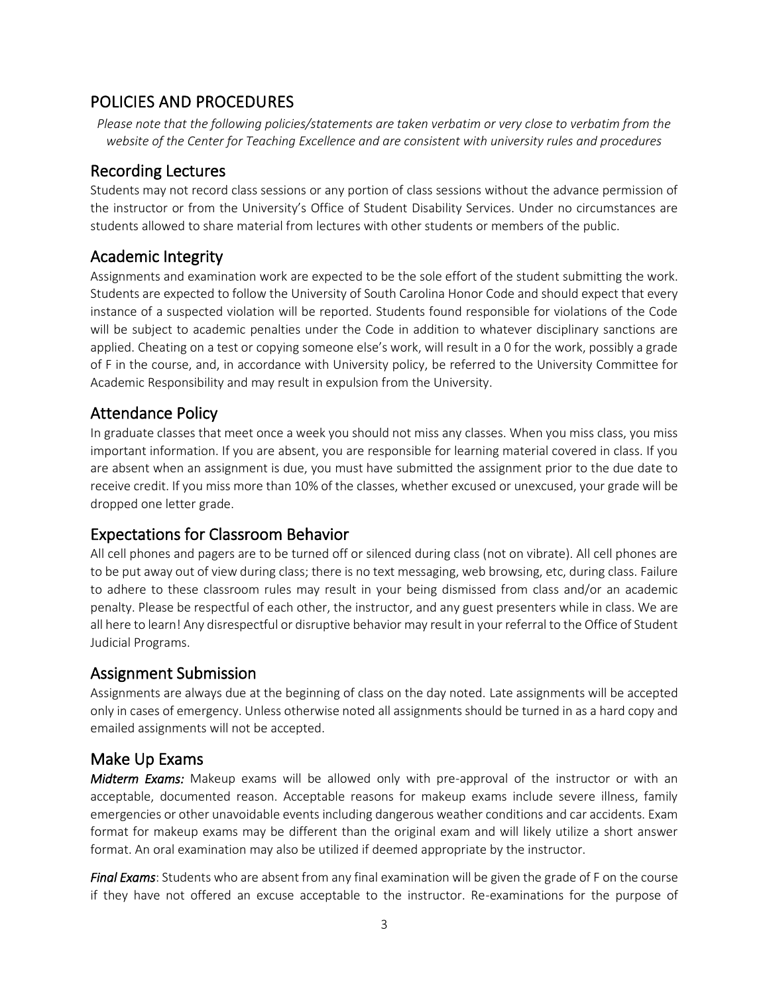#### POLICIES AND PROCEDURES

*Please note that the following policies/statements are taken verbatim or very close to verbatim from the website of the Center for Teaching Excellence and are consistent with university rules and procedures*

#### Recording Lectures

Students may not record class sessions or any portion of class sessions without the advance permission of the instructor or from the University's Office of Student Disability Services. Under no circumstances are students allowed to share material from lectures with other students or members of the public.

#### Academic Integrity

Assignments and examination work are expected to be the sole effort of the student submitting the work. Students are expected to follow the University of South Carolina Honor Code and should expect that every instance of a suspected violation will be reported. Students found responsible for violations of the Code will be subject to academic penalties under the Code in addition to whatever disciplinary sanctions are applied. Cheating on a test or copying someone else's work, will result in a 0 for the work, possibly a grade of F in the course, and, in accordance with University policy, be referred to the University Committee for Academic Responsibility and may result in expulsion from the University.

#### Attendance Policy

In graduate classes that meet once a week you should not miss any classes. When you miss class, you miss important information. If you are absent, you are responsible for learning material covered in class. If you are absent when an assignment is due, you must have submitted the assignment prior to the due date to receive credit. If you miss more than 10% of the classes, whether excused or unexcused, your grade will be dropped one letter grade.

#### Expectations for Classroom Behavior

All cell phones and pagers are to be turned off or silenced during class (not on vibrate). All cell phones are to be put away out of view during class; there is no text messaging, web browsing, etc, during class. Failure to adhere to these classroom rules may result in your being dismissed from class and/or an academic penalty. Please be respectful of each other, the instructor, and any guest presenters while in class. We are all here to learn! Any disrespectful or disruptive behavior may result in your referral to the Office of Student Judicial Programs.

#### Assignment Submission

Assignments are always due at the beginning of class on the day noted. Late assignments will be accepted only in cases of emergency. Unless otherwise noted all assignments should be turned in as a hard copy and emailed assignments will not be accepted.

#### Make Up Exams

*Midterm Exams:* Makeup exams will be allowed only with pre-approval of the instructor or with an acceptable, documented reason. Acceptable reasons for makeup exams include severe illness, family emergencies or other unavoidable events including dangerous weather conditions and car accidents. Exam format for makeup exams may be different than the original exam and will likely utilize a short answer format. An oral examination may also be utilized if deemed appropriate by the instructor.

*Final Exams*: Students who are absent from any final examination will be given the grade of F on the course if they have not offered an excuse acceptable to the instructor. Re-examinations for the purpose of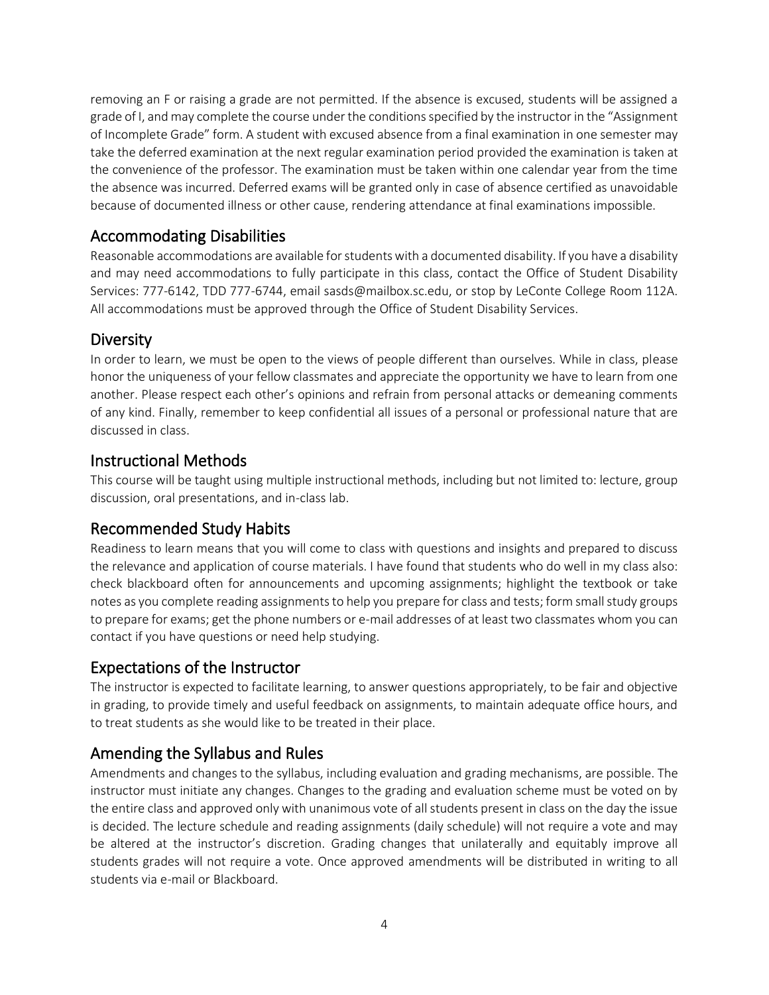removing an F or raising a grade are not permitted. If the absence is excused, students will be assigned a grade of I, and may complete the course under the conditions specified by the instructor in the "Assignment of Incomplete Grade" form. A student with excused absence from a final examination in one semester may take the deferred examination at the next regular examination period provided the examination is taken at the convenience of the professor. The examination must be taken within one calendar year from the time the absence was incurred. Deferred exams will be granted only in case of absence certified as unavoidable because of documented illness or other cause, rendering attendance at final examinations impossible.

## Accommodating Disabilities

Reasonable accommodations are available for students with a documented disability. If you have a disability and may need accommodations to fully participate in this class, contact the Office of Student Disability Services: 777-6142, TDD 777-6744, email sasds@mailbox.sc.edu, or stop by LeConte College Room 112A. All accommodations must be approved through the Office of Student Disability Services.

#### **Diversity**

In order to learn, we must be open to the views of people different than ourselves. While in class, please honor the uniqueness of your fellow classmates and appreciate the opportunity we have to learn from one another. Please respect each other's opinions and refrain from personal attacks or demeaning comments of any kind. Finally, remember to keep confidential all issues of a personal or professional nature that are discussed in class.

#### Instructional Methods

This course will be taught using multiple instructional methods, including but not limited to: lecture, group discussion, oral presentations, and in-class lab.

#### Recommended Study Habits

Readiness to learn means that you will come to class with questions and insights and prepared to discuss the relevance and application of course materials. I have found that students who do well in my class also: check blackboard often for announcements and upcoming assignments; highlight the textbook or take notes as you complete reading assignments to help you prepare for class and tests; form small study groups to prepare for exams; get the phone numbers or e-mail addresses of at least two classmates whom you can contact if you have questions or need help studying.

#### Expectations of the Instructor

The instructor is expected to facilitate learning, to answer questions appropriately, to be fair and objective in grading, to provide timely and useful feedback on assignments, to maintain adequate office hours, and to treat students as she would like to be treated in their place.

#### Amending the Syllabus and Rules

Amendments and changes to the syllabus, including evaluation and grading mechanisms, are possible. The instructor must initiate any changes. Changes to the grading and evaluation scheme must be voted on by the entire class and approved only with unanimous vote of all students present in class on the day the issue is decided. The lecture schedule and reading assignments (daily schedule) will not require a vote and may be altered at the instructor's discretion. Grading changes that unilaterally and equitably improve all students grades will not require a vote. Once approved amendments will be distributed in writing to all students via e-mail or Blackboard.